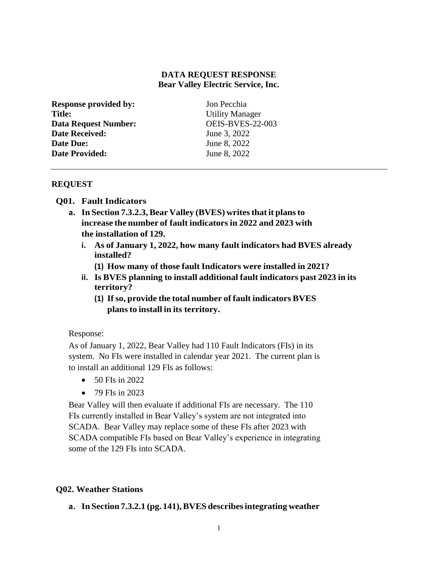# **DATA REQUEST RESPONSE Bear Valley Electric Service, Inc.**

| <b>Response provided by:</b> | Jon Pecchia             |
|------------------------------|-------------------------|
| <b>Title:</b>                | <b>Utility Manager</b>  |
| <b>Data Request Number:</b>  | <b>OEIS-BVES-22-003</b> |
| <b>Date Received:</b>        | June 3, 2022            |
| Date Due:                    | June 8, 2022            |
| <b>Date Provided:</b>        | June 8, 2022            |
|                              |                         |

## **REQUEST**

## **Q01. Fault Indicators**

- **a. In Section 7.3.2.3,Bear Valley (BVES) writesthatit plansto increase the number of fault indicators in 2022 and 2023 with the installation of 129.**
	- **i. As of January 1, 2022, how many fault indicators had BVES already installed?**
		- **(1) How many of those fault Indicators were installed in 2021?**
	- **ii. Is BVES planning to install additional fault indicators past 2023 in its territory?**
		- **(1) Ifso, provide the total number of fault indicators BVES plansto install in its territory.**

## Response:

As of January 1, 2022, Bear Valley had 110 Fault Indicators (FIs) in its system. No FIs were installed in calendar year 2021. The current plan is to install an additional 129 FIs as follows:

- $\bullet$  50 FIs in 2022
- $\bullet$  79 FIs in 2023

Bear Valley will then evaluate if additional FIs are necessary. The 110 FIs currently installed in Bear Valley's system are not integrated into SCADA. Bear Valley may replace some of these FIs after 2023 with SCADA compatible FIs based on Bear Valley's experience in integrating some of the 129 FIs into SCADA.

## **Q02. Weather Stations**

**a. In Section 7.3.2.1 (pg. 141),BVES describesintegrating weather**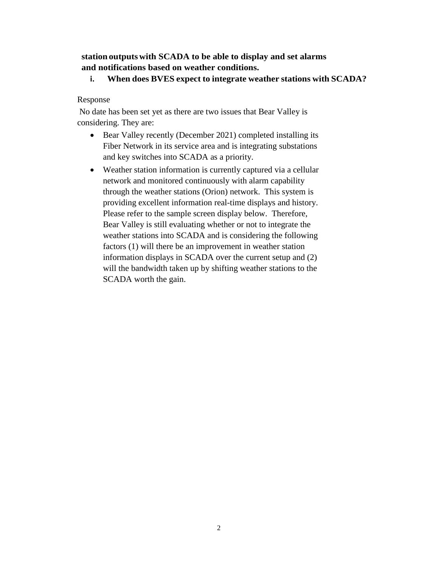# **station outputs with SCADA to be able to display and set alarms and notifications based on weather conditions.**

**i. When does BVES expect to integrate weather stations with SCADA?**

# Response

No date has been set yet as there are two issues that Bear Valley is considering. They are:

- Bear Valley recently (December 2021) completed installing its Fiber Network in its service area and is integrating substations and key switches into SCADA as a priority.
- Weather station information is currently captured via a cellular network and monitored continuously with alarm capability through the weather stations (Orion) network. This system is providing excellent information real-time displays and history. Please refer to the sample screen display below. Therefore, Bear Valley is still evaluating whether or not to integrate the weather stations into SCADA and is considering the following factors (1) will there be an improvement in weather station information displays in SCADA over the current setup and (2) will the bandwidth taken up by shifting weather stations to the SCADA worth the gain.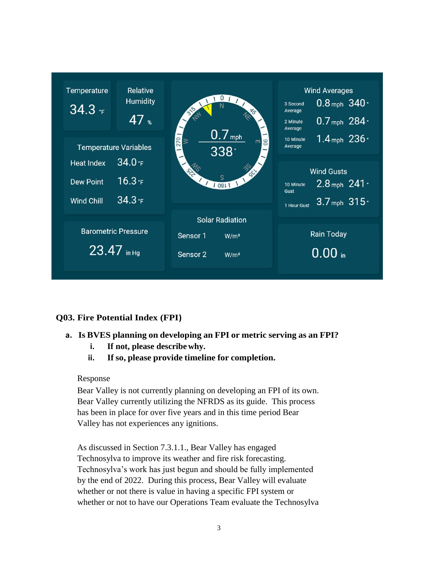

# **Q03. Fire Potential Index (FPI)**

- **a. Is BVES planning on developing an FPI or metric serving as an FPI?**
	- **i. If not, please describewhy.**
	- **ii. If so, please provide timeline for completion.**

# Response

Bear Valley is not currently planning on developing an FPI of its own. Bear Valley currently utilizing the NFRDS as its guide. This process has been in place for over five years and in this time period Bear Valley has not experiences any ignitions.

As discussed in Section 7.3.1.1., Bear Valley has engaged Technosylva to improve its weather and fire risk forecasting. Technosylva's work has just begun and should be fully implemented by the end of 2022. During this process, Bear Valley will evaluate whether or not there is value in having a specific FPI system or whether or not to have our Operations Team evaluate the Technosylva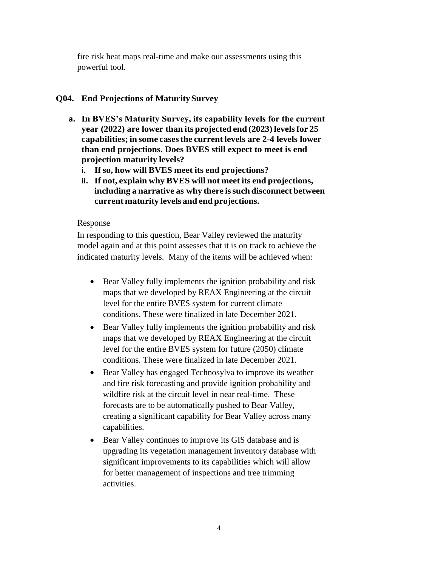fire risk heat maps real-time and make our assessments using this powerful tool.

# **Q04. End Projections of MaturitySurvey**

- **a. In BVES's Maturity Survey, its capability levels for the current year (2022) are lower than its projected end (2023)levelsfor 25 capabilities; in some casesthe current levels are 2-4 levels lower than end projections. Does BVES still expect to meet is end projection maturity levels?**
	- **i. If so, how will BVES meet its end projections?**
	- **ii. If not, explain why BVES will not meet its end projections, including a narrative as why there issuch disconnect between current maturity levels and end projections.**

# Response

In responding to this question, Bear Valley reviewed the maturity model again and at this point assesses that it is on track to achieve the indicated maturity levels. Many of the items will be achieved when:

- Bear Valley fully implements the ignition probability and risk maps that we developed by REAX Engineering at the circuit level for the entire BVES system for current climate conditions. These were finalized in late December 2021.
- Bear Valley fully implements the ignition probability and risk maps that we developed by REAX Engineering at the circuit level for the entire BVES system for future (2050) climate conditions. These were finalized in late December 2021.
- Bear Valley has engaged Technosylva to improve its weather and fire risk forecasting and provide ignition probability and wildfire risk at the circuit level in near real-time. These forecasts are to be automatically pushed to Bear Valley, creating a significant capability for Bear Valley across many capabilities.
- Bear Valley continues to improve its GIS database and is upgrading its vegetation management inventory database with significant improvements to its capabilities which will allow for better management of inspections and tree trimming activities.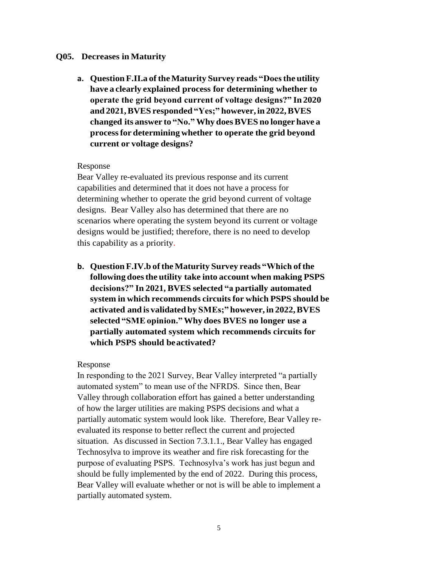## **Q05. Decreases in Maturity**

**a. Question F.II.a oftheMaturity Survey reads "Doesthe utility have a clearly explained process for determining whether to operate the grid beyond current of voltage designs?" In 2020 and 2021,BVES responded "Yes;" however, in 2022,BVES changed its answer to "No."Why doesBVES no longer have a processfor determining whether to operate the grid beyond current or voltage designs?**

#### Response

Bear Valley re-evaluated its previous response and its current capabilities and determined that it does not have a process for determining whether to operate the grid beyond current of voltage designs. Bear Valley also has determined that there are no scenarios where operating the system beyond its current or voltage designs would be justified; therefore, there is no need to develop this capability as a priority.

**b. Question F.IV.b oftheMaturity Survey reads "Which ofthe following doesthe utility take into account when making PSPS decisions?" In 2021, BVES selected "a partially automated system in which recommends circuitsfor which PSPS should be activated and is validated by SMEs;" however, in 2022,BVES selected "SMEopinion."Why does BVES no longer use a partially automated system which recommends circuits for which PSPS should beactivated?**

#### Response

In responding to the 2021 Survey, Bear Valley interpreted "a partially automated system" to mean use of the NFRDS. Since then, Bear Valley through collaboration effort has gained a better understanding of how the larger utilities are making PSPS decisions and what a partially automatic system would look like. Therefore, Bear Valley reevaluated its response to better reflect the current and projected situation. As discussed in Section 7.3.1.1., Bear Valley has engaged Technosylva to improve its weather and fire risk forecasting for the purpose of evaluating PSPS. Technosylva's work has just begun and should be fully implemented by the end of 2022. During this process, Bear Valley will evaluate whether or not is will be able to implement a partially automated system.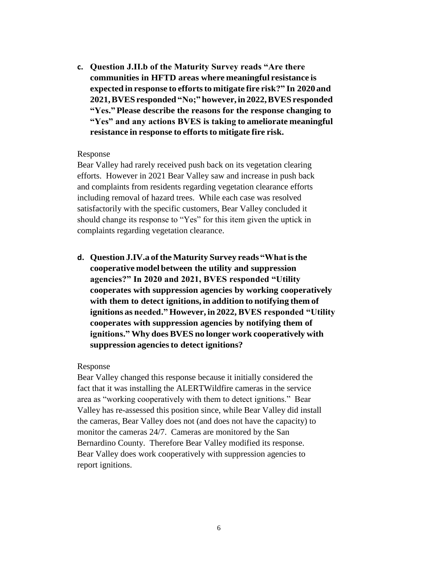**c. Question J.II.b of the Maturity Survey reads "Are there communities in HFTD areas where meaningful resistance is expected in response to effortsto mitigate fire risk?" In 2020 and 2021,BVESresponded "No;" however,in2022,BVESresponded "Yes."Please describe the reasons for the response changing to "Yes" and any actions BVES is taking to ameliorate meaningful resistance in response to effortsto mitigate fire risk.**

#### Response

Bear Valley had rarely received push back on its vegetation clearing efforts. However in 2021 Bear Valley saw and increase in push back and complaints from residents regarding vegetation clearance efforts including removal of hazard trees. While each case was resolved satisfactorily with the specific customers, Bear Valley concluded it should change its response to "Yes" for this item given the uptick in complaints regarding vegetation clearance.

**d. Question J.IV.a oftheMaturity Survey reads "Whatisthe cooperative model between the utility and suppression agencies?" In 2020 and 2021, BVES responded "Utility cooperates with suppression agencies by working cooperatively with them to detect ignitions, in addition to notifying them of ignitions as needed." However, in 2022,BVES responded "Utility cooperates with suppression agencies by notifying them of ignitions." Why does BVES no longer work cooperatively with suppression agenciesto detect ignitions?**

#### Response

Bear Valley changed this response because it initially considered the fact that it was installing the ALERTWildfire cameras in the service area as "working cooperatively with them to detect ignitions." Bear Valley has re-assessed this position since, while Bear Valley did install the cameras, Bear Valley does not (and does not have the capacity) to monitor the cameras 24/7. Cameras are monitored by the San Bernardino County. Therefore Bear Valley modified its response. Bear Valley does work cooperatively with suppression agencies to report ignitions.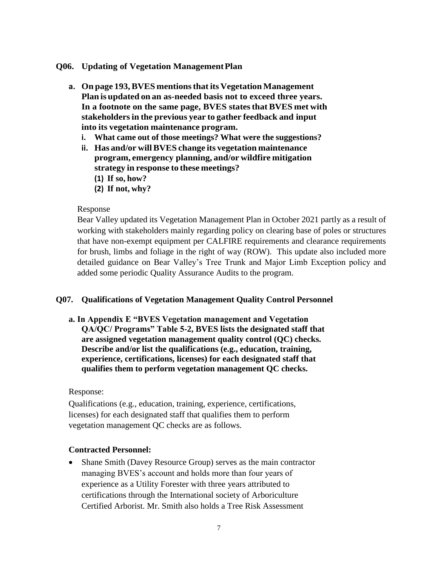## **Q06. Updating of Vegetation ManagementPlan**

- **a. On page 193,BVES mentionsthat its VegetationManagement Plan is updated on an as-needed basis not to exceed three years. In a footnote on the same page, BVES statesthat BVES met with stakeholdersin the previous year to gather feedback and input into its vegetation maintenance program.**
	- **i. What came out of those meetings? What were the suggestions?**
	- **ii. Has and/or willBVES change its vegetation maintenance program, emergency planning, and/or wildfire mitigation strategy in response to these meetings?**
		- **(1) If so, how?**
		- **(2) If not, why?**

## Response

Bear Valley updated its Vegetation Management Plan in October 2021 partly as a result of working with stakeholders mainly regarding policy on clearing base of poles or structures that have non-exempt equipment per CALFIRE requirements and clearance requirements for brush, limbs and foliage in the right of way (ROW). This update also included more detailed guidance on Bear Valley's Tree Trunk and Major Limb Exception policy and added some periodic Quality Assurance Audits to the program.

# **Q07. Qualifications of Vegetation Management Quality Control Personnel**

**a. In Appendix E "BVES Vegetation management and Vegetation QA/QC/ Programs" Table 5-2, BVES lists the designated staff that are assigned vegetation management quality control (QC) checks. Describe and/or list the qualifications (e.g., education, training, experience, certifications, licenses) for each designated staff that qualifies them to perform vegetation management QC checks.**

## Response:

Qualifications (e.g., education, training, experience, certifications, licenses) for each designated staff that qualifies them to perform vegetation management QC checks are as follows.

## **Contracted Personnel:**

 Shane Smith (Davey Resource Group) serves as the main contractor managing BVES's account and holds more than four years of experience as a Utility Forester with three years attributed to certifications through the International society of Arboriculture Certified Arborist. Mr. Smith also holds a Tree Risk Assessment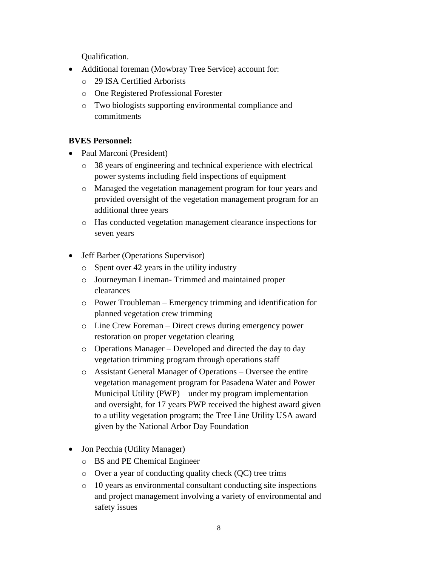Qualification.

- Additional foreman (Mowbray Tree Service) account for:
	- o 29 ISA Certified Arborists
	- o One Registered Professional Forester
	- o Two biologists supporting environmental compliance and commitments

# **BVES Personnel:**

- Paul Marconi (President)
	- o 38 years of engineering and technical experience with electrical power systems including field inspections of equipment
	- o Managed the vegetation management program for four years and provided oversight of the vegetation management program for an additional three years
	- o Has conducted vegetation management clearance inspections for seven years
- Jeff Barber (Operations Supervisor)
	- o Spent over 42 years in the utility industry
	- o Journeyman Lineman- Trimmed and maintained proper clearances
	- o Power Troubleman Emergency trimming and identification for planned vegetation crew trimming
	- o Line Crew Foreman Direct crews during emergency power restoration on proper vegetation clearing
	- o Operations Manager Developed and directed the day to day vegetation trimming program through operations staff
	- o Assistant General Manager of Operations Oversee the entire vegetation management program for Pasadena Water and Power Municipal Utility (PWP) – under my program implementation and oversight, for 17 years PWP received the highest award given to a utility vegetation program; the Tree Line Utility USA award given by the National Arbor Day Foundation
- Jon Pecchia (Utility Manager)
	- o BS and PE Chemical Engineer
	- o Over a year of conducting quality check (QC) tree trims
	- o 10 years as environmental consultant conducting site inspections and project management involving a variety of environmental and safety issues